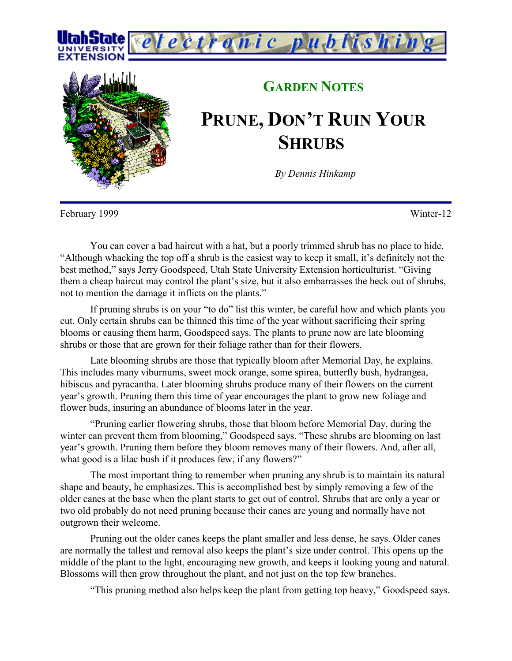



## **GARDEN NOTES PRUNE, DON'T RUIN YOUR SHRUBS**

*By Dennis Hinkamp*

February 1999 Winter-12

You can cover a bad haircut with a hat, but a poorly trimmed shrub has no place to hide. "Although whacking the top off a shrub is the easiest way to keep it small, it's definitely not the best method," says Jerry Goodspeed, Utah State University Extension horticulturist. "Giving them a cheap haircut may control the plant's size, but it also embarrasses the heck out of shrubs, not to mention the damage it inflicts on the plants."

If pruning shrubs is on your "to do" list this winter, be careful how and which plants you cut. Only certain shrubs can be thinned this time of the year without sacrificing their spring blooms or causing them harm, Goodspeed says. The plants to prune now are late blooming shrubs or those that are grown for their foliage rather than for their flowers.

Late blooming shrubs are those that typically bloom after Memorial Day, he explains. This includes many viburnums, sweet mock orange, some spirea, butterfly bush, hydrangea, hibiscus and pyracantha. Later blooming shrubs produce many of their flowers on the current year's growth. Pruning them this time of year encourages the plant to grow new foliage and flower buds, insuring an abundance of blooms later in the year.

"Pruning earlier flowering shrubs, those that bloom before Memorial Day, during the winter can prevent them from blooming," Goodspeed says. "These shrubs are blooming on last year's growth. Pruning them before they bloom removes many of their flowers. And, after all, what good is a lilac bush if it produces few, if any flowers?"

The most important thing to remember when pruning any shrub is to maintain its natural shape and beauty, he emphasizes. This is accomplished best by simply removing a few of the older canes at the base when the plant starts to get out of control. Shrubs that are only a year or two old probably do not need pruning because their canes are young and normally have not outgrown their welcome.

Pruning out the older canes keeps the plant smaller and less dense, he says. Older canes are normally the tallest and removal also keeps the plant's size under control. This opens up the middle of the plant to the light, encouraging new growth, and keeps it looking young and natural. Blossoms will then grow throughout the plant, and not just on the top few branches.

"This pruning method also helps keep the plant from getting top heavy," Goodspeed says.